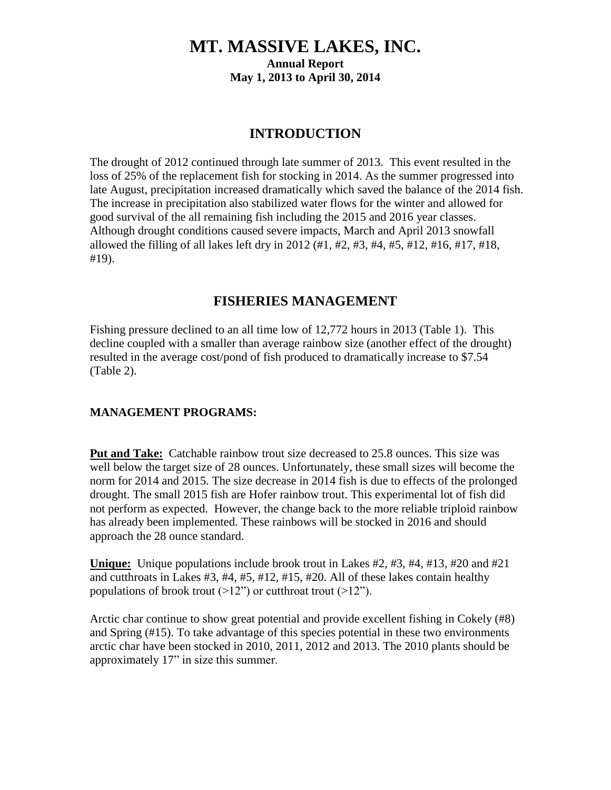# **MT. MASSIVE LAKES, INC. Annual Report May 1, 2013 to April 30, 2014**

### **INTRODUCTION**

The drought of 2012 continued through late summer of 2013. This event resulted in the loss of 25% of the replacement fish for stocking in 2014. As the summer progressed into late August, precipitation increased dramatically which saved the balance of the 2014 fish. The increase in precipitation also stabilized water flows for the winter and allowed for good survival of the all remaining fish including the 2015 and 2016 year classes. Although drought conditions caused severe impacts, March and April 2013 snowfall allowed the filling of all lakes left dry in 2012 (#1, #2, #3, #4, #5, #12, #16, #17, #18, #19).

## **FISHERIES MANAGEMENT**

Fishing pressure declined to an all time low of 12,772 hours in 2013 (Table 1). This decline coupled with a smaller than average rainbow size (another effect of the drought) resulted in the average cost/pond of fish produced to dramatically increase to \$7.54 (Table 2).

#### **MANAGEMENT PROGRAMS:**

Put and Take: Catchable rainbow trout size decreased to 25.8 ounces. This size was well below the target size of 28 ounces. Unfortunately, these small sizes will become the norm for 2014 and 2015. The size decrease in 2014 fish is due to effects of the prolonged drought. The small 2015 fish are Hofer rainbow trout. This experimental lot of fish did not perform as expected. However, the change back to the more reliable triploid rainbow has already been implemented. These rainbows will be stocked in 2016 and should approach the 28 ounce standard.

**Unique:** Unique populations include brook trout in Lakes #2, #3, #4, #13, #20 and #21 and cutthroats in Lakes #3, #4, #5, #12, #15, #20. All of these lakes contain healthy populations of brook trout  $(>12)$ " or cutthroat trout  $(>12)$ ").

Arctic char continue to show great potential and provide excellent fishing in Cokely (#8) and Spring (#15). To take advantage of this species potential in these two environments arctic char have been stocked in 2010, 2011, 2012 and 2013. The 2010 plants should be approximately 17" in size this summer.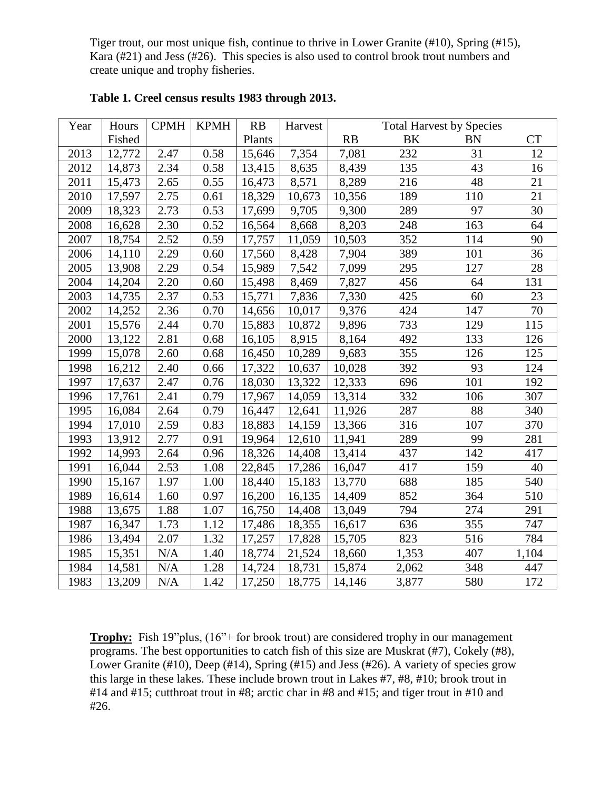Tiger trout, our most unique fish, continue to thrive in Lower Granite (#10), Spring (#15), Kara (#21) and Jess (#26). This species is also used to control brook trout numbers and create unique and trophy fisheries.

| Year | Hours  | <b>CPMH</b> | <b>KPMH</b> | RB     | Harvest |        | <b>Total Harvest by Species</b> |           |                 |
|------|--------|-------------|-------------|--------|---------|--------|---------------------------------|-----------|-----------------|
|      | Fished |             |             | Plants |         | RB     | BK                              | <b>BN</b> | <b>CT</b>       |
| 2013 | 12,772 | 2.47        | 0.58        | 15,646 | 7,354   | 7,081  | 232                             | 31        | 12              |
| 2012 | 14,873 | 2.34        | 0.58        | 13,415 | 8,635   | 8,439  | 135                             | 43        | 16              |
| 2011 | 15,473 | 2.65        | 0.55        | 16,473 | 8,571   | 8,289  | 216                             | 48        | 21              |
| 2010 | 17,597 | 2.75        | 0.61        | 18,329 | 10,673  | 10,356 | 189                             | 110       | $\overline{21}$ |
| 2009 | 18,323 | 2.73        | 0.53        | 17,699 | 9,705   | 9,300  | 289                             | 97        | 30              |
| 2008 | 16,628 | 2.30        | 0.52        | 16,564 | 8,668   | 8,203  | 248                             | 163       | 64              |
| 2007 | 18,754 | 2.52        | 0.59        | 17,757 | 11,059  | 10,503 | 352                             | 114       | 90              |
| 2006 | 14,110 | 2.29        | 0.60        | 17,560 | 8,428   | 7,904  | 389                             | 101       | 36              |
| 2005 | 13,908 | 2.29        | 0.54        | 15,989 | 7,542   | 7,099  | 295                             | 127       | 28              |
| 2004 | 14,204 | 2.20        | 0.60        | 15,498 | 8,469   | 7,827  | 456                             | 64        | 131             |
| 2003 | 14,735 | 2.37        | 0.53        | 15,771 | 7,836   | 7,330  | 425                             | 60        | 23              |
| 2002 | 14,252 | 2.36        | 0.70        | 14,656 | 10,017  | 9,376  | 424                             | 147       | $70\,$          |
| 2001 | 15,576 | 2.44        | 0.70        | 15,883 | 10,872  | 9,896  | 733                             | 129       | 115             |
| 2000 | 13,122 | 2.81        | 0.68        | 16,105 | 8,915   | 8,164  | 492                             | 133       | 126             |
| 1999 | 15,078 | 2.60        | 0.68        | 16,450 | 10,289  | 9,683  | 355                             | 126       | 125             |
| 1998 | 16,212 | 2.40        | 0.66        | 17,322 | 10,637  | 10,028 | 392                             | 93        | 124             |
| 1997 | 17,637 | 2.47        | 0.76        | 18,030 | 13,322  | 12,333 | 696                             | 101       | 192             |
| 1996 | 17,761 | 2.41        | 0.79        | 17,967 | 14,059  | 13,314 | 332                             | 106       | 307             |
| 1995 | 16,084 | 2.64        | 0.79        | 16,447 | 12,641  | 11,926 | 287                             | 88        | 340             |
| 1994 | 17,010 | 2.59        | 0.83        | 18,883 | 14,159  | 13,366 | 316                             | 107       | 370             |
| 1993 | 13,912 | 2.77        | 0.91        | 19,964 | 12,610  | 11,941 | 289                             | 99        | 281             |
| 1992 | 14,993 | 2.64        | 0.96        | 18,326 | 14,408  | 13,414 | 437                             | 142       | 417             |
| 1991 | 16,044 | 2.53        | 1.08        | 22,845 | 17,286  | 16,047 | 417                             | 159       | 40              |
| 1990 | 15,167 | 1.97        | 1.00        | 18,440 | 15,183  | 13,770 | 688                             | 185       | 540             |
| 1989 | 16,614 | 1.60        | 0.97        | 16,200 | 16,135  | 14,409 | 852                             | 364       | 510             |
| 1988 | 13,675 | 1.88        | 1.07        | 16,750 | 14,408  | 13,049 | 794                             | 274       | 291             |
| 1987 | 16,347 | 1.73        | 1.12        | 17,486 | 18,355  | 16,617 | 636                             | 355       | 747             |
| 1986 | 13,494 | 2.07        | 1.32        | 17,257 | 17,828  | 15,705 | 823                             | 516       | 784             |
| 1985 | 15,351 | N/A         | 1.40        | 18,774 | 21,524  | 18,660 | 1,353                           | 407       | 1,104           |
| 1984 | 14,581 | $\rm N/A$   | 1.28        | 14,724 | 18,731  | 15,874 | 2,062                           | 348       | 447             |
| 1983 | 13,209 | N/A         | 1.42        | 17,250 | 18,775  | 14,146 | 3,877                           | 580       | 172             |

**Table 1. Creel census results 1983 through 2013.**

**Trophy:** Fish 19"plus,  $(16" +$  for brook trout) are considered trophy in our management programs. The best opportunities to catch fish of this size are Muskrat (#7), Cokely (#8), Lower Granite (#10), Deep (#14), Spring (#15) and Jess (#26). A variety of species grow this large in these lakes. These include brown trout in Lakes #7, #8, #10; brook trout in #14 and #15; cutthroat trout in #8; arctic char in #8 and #15; and tiger trout in #10 and #26.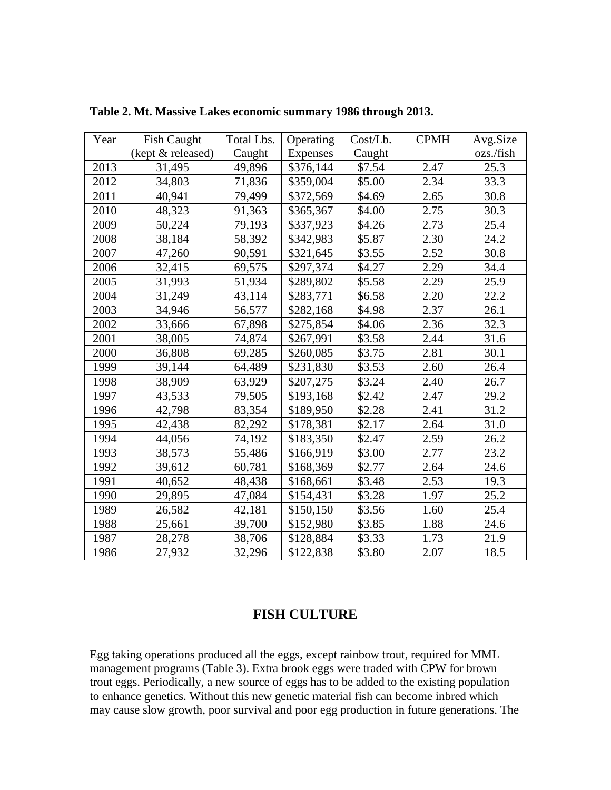| Year | <b>Fish Caught</b> | Total Lbs. |                 | Cost/Lb.<br>Operating |      | Avg.Size  |
|------|--------------------|------------|-----------------|-----------------------|------|-----------|
|      | (kept & released)  | Caught     | <b>Expenses</b> | Caught                |      | ozs./fish |
| 2013 | 31,495             | 49,896     | \$376,144       | \$7.54                | 2.47 | 25.3      |
| 2012 | 34,803             | 71,836     | \$359,004       | \$5.00                | 2.34 | 33.3      |
| 2011 | 40,941             | 79,499     | \$372,569       | \$4.69                | 2.65 | 30.8      |
| 2010 | 48,323             | 91,363     | \$365,367       | \$4.00                | 2.75 | 30.3      |
| 2009 | 50,224             | 79,193     | \$337,923       | \$4.26                | 2.73 | 25.4      |
| 2008 | 38,184             | 58,392     | \$342,983       | \$5.87                | 2.30 | 24.2      |
| 2007 | 47,260             | 90,591     | \$321,645       | \$3.55                | 2.52 | 30.8      |
| 2006 | 32,415             | 69,575     | \$297,374       | \$4.27                | 2.29 | 34.4      |
| 2005 | 31,993             | 51,934     | \$289,802       | \$5.58                | 2.29 | 25.9      |
| 2004 | 31,249             | 43,114     | \$283,771       | \$6.58                | 2.20 | 22.2      |
| 2003 | 34,946             | 56,577     | \$282,168       | \$4.98                | 2.37 | 26.1      |
| 2002 | 33,666             | 67,898     | \$275,854       | \$4.06                | 2.36 | 32.3      |
| 2001 | 38,005             | 74,874     | \$267,991       | \$3.58                | 2.44 | 31.6      |
| 2000 | 36,808             | 69,285     | \$260,085       | \$3.75                | 2.81 | 30.1      |
| 1999 | 39,144             | 64,489     | \$231,830       | \$3.53                | 2.60 | 26.4      |
| 1998 | 38,909             | 63,929     | \$207,275       | \$3.24                | 2.40 | 26.7      |
| 1997 | 43,533             | 79,505     | \$193,168       | \$2.42                | 2.47 | 29.2      |
| 1996 | 42,798             | 83,354     | \$189,950       | \$2.28                | 2.41 | 31.2      |
| 1995 | 42,438             | 82,292     | \$178,381       | \$2.17                | 2.64 | 31.0      |
| 1994 | 44,056             | 74,192     | \$183,350       | \$2.47                | 2.59 | 26.2      |
| 1993 | 38,573             | 55,486     | \$166,919       | \$3.00                | 2.77 | 23.2      |
| 1992 | 39,612             | 60,781     | \$168,369       | \$2.77                | 2.64 | 24.6      |
| 1991 | 40,652             | 48,438     | \$168,661       | \$3.48                | 2.53 | 19.3      |
| 1990 | 29,895             | 47,084     | \$154,431       | \$3.28                | 1.97 | 25.2      |
| 1989 | 26,582             | 42,181     | \$150,150       | \$3.56                | 1.60 | 25.4      |
| 1988 | 25,661             | 39,700     | \$152,980       | \$3.85                | 1.88 | 24.6      |
| 1987 | 28,278             | 38,706     | \$128,884       | \$3.33                | 1.73 | 21.9      |
| 1986 | 27,932             | 32,296     | \$122,838       | \$3.80                | 2.07 | 18.5      |

**Table 2. Mt. Massive Lakes economic summary 1986 through 2013.**

## **FISH CULTURE**

Egg taking operations produced all the eggs, except rainbow trout, required for MML management programs (Table 3). Extra brook eggs were traded with CPW for brown trout eggs. Periodically, a new source of eggs has to be added to the existing population to enhance genetics. Without this new genetic material fish can become inbred which may cause slow growth, poor survival and poor egg production in future generations. The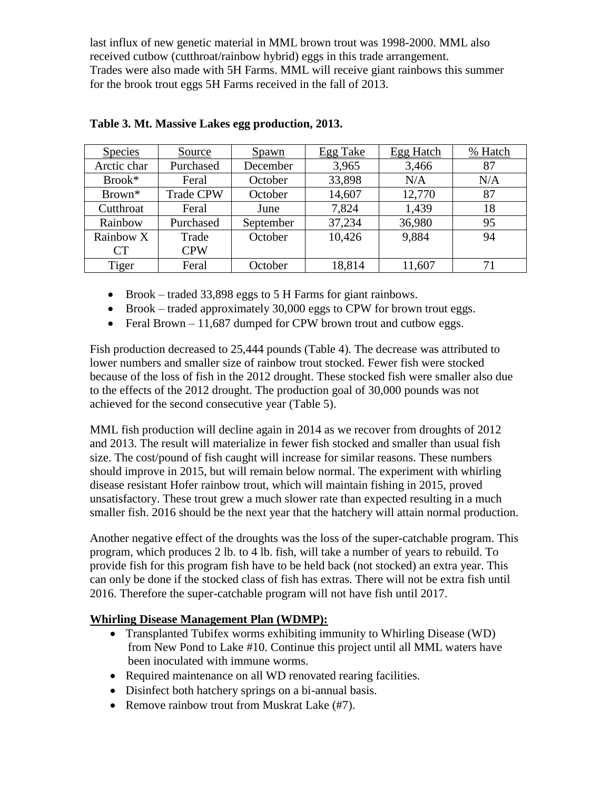last influx of new genetic material in MML brown trout was 1998-2000. MML also received cutbow (cutthroat/rainbow hybrid) eggs in this trade arrangement. Trades were also made with 5H Farms. MML will receive giant rainbows this summer for the brook trout eggs 5H Farms received in the fall of 2013.

| <b>Species</b>     | Source           | <b>Spawn</b> | <b>Egg Take</b> | <b>Egg Hatch</b> | % Hatch |
|--------------------|------------------|--------------|-----------------|------------------|---------|
| Arctic char        | Purchased        | December     | 3,965           | 3,466            | 87      |
| Brook*             | Feral            | October      | 33,898          | N/A              | N/A     |
| Brown <sup>*</sup> | <b>Trade CPW</b> | October      | 14,607          | 12,770           | 87      |
| Cutthroat          | Feral            | June         | 7,824           | 1,439            | 18      |
| Rainbow            | Purchased        | September    | 37,234          | 36,980           | 95      |
| Rainbow X          | Trade            | October      | 10,426          | 9,884            | 94      |
| <b>CT</b>          | <b>CPW</b>       |              |                 |                  |         |
| Tiger              | Feral            | October      | 18,814          | 11,607           | 71      |

- Brook traded 33,898 eggs to 5 H Farms for giant rainbows.
- $\bullet$  Brook traded approximately 30,000 eggs to CPW for brown trout eggs.
- Feral Brown  $-11,687$  dumped for CPW brown trout and cutbow eggs.

Fish production decreased to 25,444 pounds (Table 4). The decrease was attributed to lower numbers and smaller size of rainbow trout stocked. Fewer fish were stocked because of the loss of fish in the 2012 drought. These stocked fish were smaller also due to the effects of the 2012 drought. The production goal of 30,000 pounds was not achieved for the second consecutive year (Table 5).

MML fish production will decline again in 2014 as we recover from droughts of 2012 and 2013. The result will materialize in fewer fish stocked and smaller than usual fish size. The cost/pound of fish caught will increase for similar reasons. These numbers should improve in 2015, but will remain below normal. The experiment with whirling disease resistant Hofer rainbow trout, which will maintain fishing in 2015, proved unsatisfactory. These trout grew a much slower rate than expected resulting in a much smaller fish. 2016 should be the next year that the hatchery will attain normal production.

Another negative effect of the droughts was the loss of the super-catchable program. This program, which produces 2 lb. to 4 lb. fish, will take a number of years to rebuild. To provide fish for this program fish have to be held back (not stocked) an extra year. This can only be done if the stocked class of fish has extras. There will not be extra fish until 2016. Therefore the super-catchable program will not have fish until 2017.

#### **Whirling Disease Management Plan (WDMP):**

- Transplanted Tubifex worms exhibiting immunity to Whirling Disease (WD) from New Pond to Lake #10. Continue this project until all MML waters have been inoculated with immune worms.
- Required maintenance on all WD renovated rearing facilities.
- Disinfect both hatchery springs on a bi-annual basis.
- Remove rainbow trout from Muskrat Lake (#7).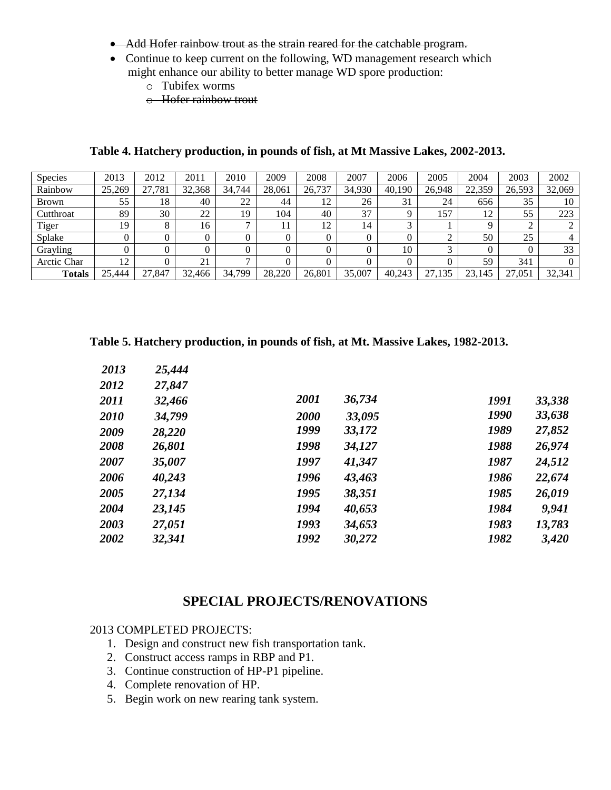- Add Hofer rainbow trout as the strain reared for the catchable program.
- Continue to keep current on the following, WD management research which might enhance our ability to better manage WD spore production:
	- o Tubifex worms
	- o Hofer rainbow trout

#### **Table 4. Hatchery production, in pounds of fish, at Mt Massive Lakes, 2002-2013.**

| <b>Species</b> | 2013   | 2012   | 2011     | 2010   | 2009   | 2008   | 2007   | 2006   | 2005   | 2004   | 2003   | 2002   |
|----------------|--------|--------|----------|--------|--------|--------|--------|--------|--------|--------|--------|--------|
| Rainbow        | 25,269 | ',781  | 32,368   | 34.744 | 28,061 | 26,737 | 34,930 | 40.190 | 26,948 | 22,359 | 26,593 | 32,069 |
| <b>Brown</b>   | 55     | 18     | 40       | 22     | 44     | 12     | 26     | 31     | 24     | 656    | 35     | 10     |
| Cutthroat      | 89     | 30     | 22       | 19     | 104    | 40     | 37     |        | 157    | 12     | 55     | 223    |
| Tiger          | 19     |        | 16       |        |        | 12     | 14     |        |        |        |        |        |
| Splake         |        |        | 0        |        |        |        | 0      |        |        | 50     | 25     |        |
| Grayling       |        |        | $\Omega$ |        |        |        | 0      | 10     |        |        |        | 33     |
| Arctic Char    | 12     |        | 21       |        |        |        |        |        |        | 59     | 341    |        |
| <b>Totals</b>  | 25.444 | 27.847 | 32,466   | 34,799 | 28,220 | 26,801 | 35,007 | 40.243 | 27,135 | 23,145 | 27,051 | 32,341 |

**Table 5. Hatchery production, in pounds of fish, at Mt. Massive Lakes, 1982-2013.**

| 2013 | 25,444 |      |        |      |        |
|------|--------|------|--------|------|--------|
| 2012 | 27,847 |      |        |      |        |
| 2011 | 32,466 | 2001 | 36,734 | 1991 | 33,338 |
| 2010 | 34,799 | 2000 | 33,095 | 1990 | 33,638 |
| 2009 | 28,220 | 1999 | 33,172 | 1989 | 27,852 |
| 2008 | 26,801 | 1998 | 34,127 | 1988 | 26,974 |
| 2007 | 35,007 | 1997 | 41,347 | 1987 | 24,512 |
| 2006 | 40,243 | 1996 | 43,463 | 1986 | 22,674 |
| 2005 | 27,134 | 1995 | 38,351 | 1985 | 26,019 |
| 2004 | 23,145 | 1994 | 40,653 | 1984 | 9,941  |
| 2003 | 27,051 | 1993 | 34,653 | 1983 | 13,783 |
| 2002 | 32,341 | 1992 | 30,272 | 1982 | 3,420  |
|      |        |      |        |      |        |

#### **SPECIAL PROJECTS/RENOVATIONS**

#### 2013 COMPLETED PROJECTS:

- 1. Design and construct new fish transportation tank.
- 2. Construct access ramps in RBP and P1.
- 3. Continue construction of HP-P1 pipeline.
- 4. Complete renovation of HP.
- 5. Begin work on new rearing tank system.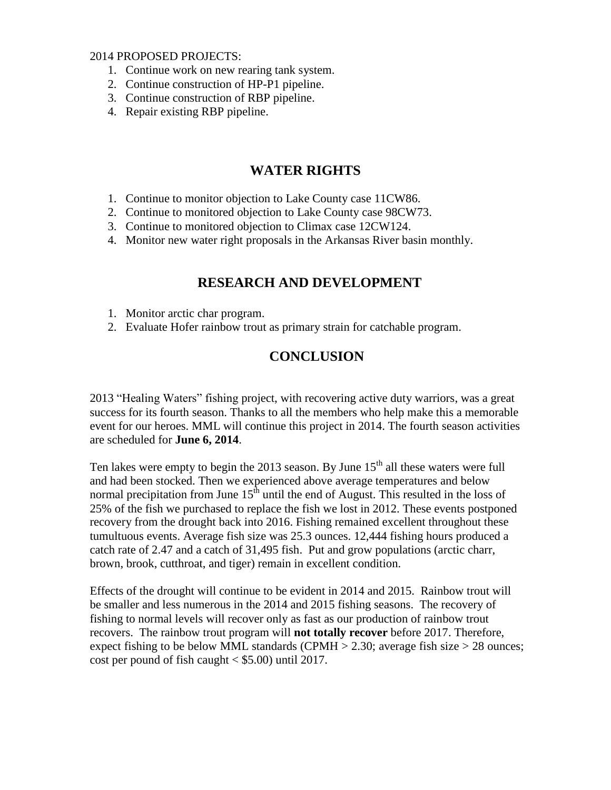2014 PROPOSED PROJECTS:

- 1. Continue work on new rearing tank system.
- 2. Continue construction of HP-P1 pipeline.
- 3. Continue construction of RBP pipeline.
- 4. Repair existing RBP pipeline.

## **WATER RIGHTS**

- 1. Continue to monitor objection to Lake County case 11CW86.
- 2. Continue to monitored objection to Lake County case 98CW73.
- 3. Continue to monitored objection to Climax case 12CW124.
- 4. Monitor new water right proposals in the Arkansas River basin monthly.

## **RESEARCH AND DEVELOPMENT**

- 1. Monitor arctic char program.
- 2. Evaluate Hofer rainbow trout as primary strain for catchable program.

## **CONCLUSION**

2013 "Healing Waters" fishing project, with recovering active duty warriors, was a great success for its fourth season. Thanks to all the members who help make this a memorable event for our heroes. MML will continue this project in 2014. The fourth season activities are scheduled for **June 6, 2014**.

Ten lakes were empty to begin the 2013 season. By June  $15<sup>th</sup>$  all these waters were full and had been stocked. Then we experienced above average temperatures and below normal precipitation from June  $15<sup>th</sup>$  until the end of August. This resulted in the loss of 25% of the fish we purchased to replace the fish we lost in 2012. These events postponed recovery from the drought back into 2016. Fishing remained excellent throughout these tumultuous events. Average fish size was 25.3 ounces. 12,444 fishing hours produced a catch rate of 2.47 and a catch of 31,495 fish. Put and grow populations (arctic charr, brown, brook, cutthroat, and tiger) remain in excellent condition.

Effects of the drought will continue to be evident in 2014 and 2015. Rainbow trout will be smaller and less numerous in the 2014 and 2015 fishing seasons. The recovery of fishing to normal levels will recover only as fast as our production of rainbow trout recovers. The rainbow trout program will **not totally recover** before 2017. Therefore, expect fishing to be below MML standards (CPMH  $>$  2.30; average fish size  $>$  28 ounces; cost per pound of fish caught  $\langle$  \$5.00) until 2017.